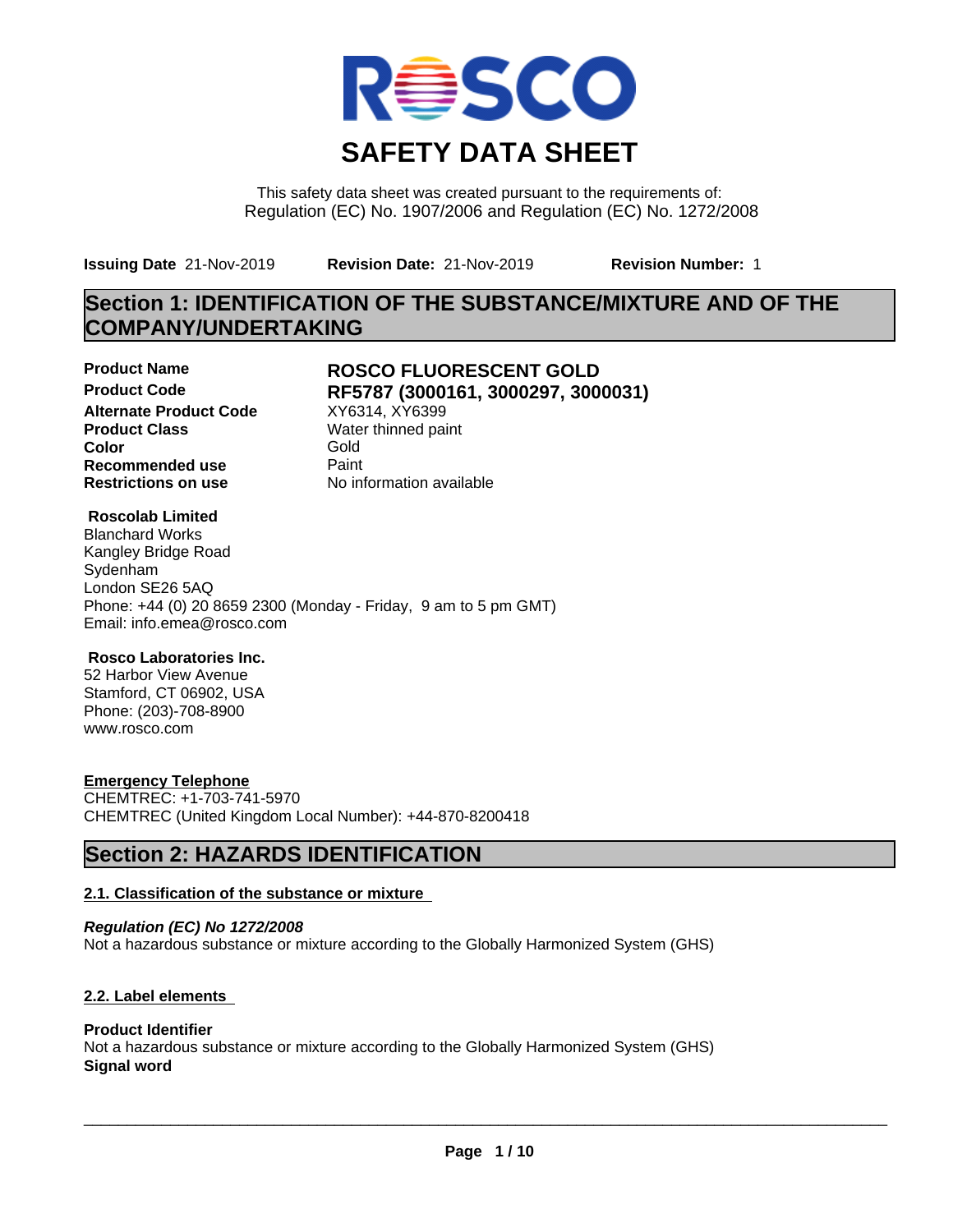

This safety data sheet was created pursuant to the requirements of: Regulation (EC) No. 1907/2006 and Regulation (EC) No. 1272/2008

**Issuing Date** 21-Nov-2019 **Revision Date:** 21-Nov-2019 **Revision Number:** 1

## **Section 1: IDENTIFICATION OF THE SUBSTANCE/MIXTURE AND OF THE COMPANY/UNDERTAKING**

**Alternate Product Code** XY6314, XY6399<br> **Product Class** Water thinned pai **Recommended use** Paint<br> **Restrictions on use** Mo information available **Restrictions on use** 

### **Product Name ROSCO FLUORESCENT GOLD Product Code RF5787 (3000161, 3000297, 3000031)**

**Water thinned paint Color** Gold

### **Roscolab Limited**

Blanchard Works Kangley Bridge Road Sydenham London SE26 5AQ Phone: +44 (0) 20 8659 2300 (Monday - Friday, 9 am to 5 pm GMT) Email: info.emea@rosco.com

### **Rosco Laboratories Inc.**

52 Harbor View Avenue Stamford, CT 06902, USA Phone: (203)-708-8900 www.rosco.com

### **Emergency Telephone**

CHEMTREC: +1-703-741-5970 CHEMTREC (United Kingdom Local Number): +44-870-8200418

## **Section 2: HAZARDS IDENTIFICATION**

### **2.1. Classification of the substance or mixture**

*Regulation (EC) No 1272/2008* Not a hazardous substance or mixture according to the Globally Harmonized System (GHS)

### **2.2. Label elements**

### **Product Identifier**

Not a hazardous substance or mixture according to the Globally Harmonized System (GHS) **Signal word**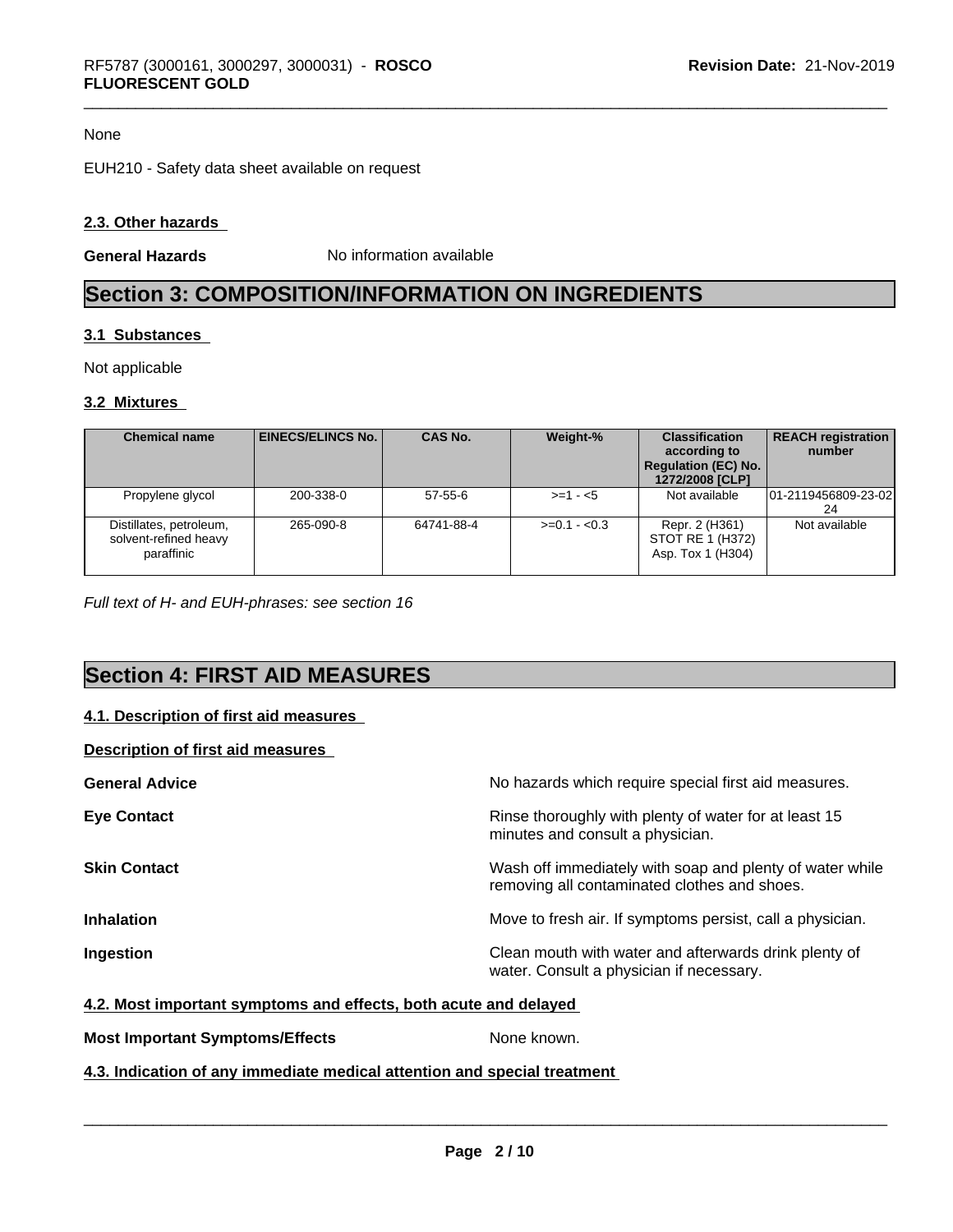#### None

EUH210 - Safety data sheet available on request

#### **2.3. Other hazards**

**General Hazards** No information available

## **Section 3: COMPOSITION/INFORMATION ON INGREDIENTS**

#### **3.1 Substances**

Not applicable

#### **3.2 Mixtures**

| <b>Chemical name</b>                                           | EINECS/ELINCS No. | <b>CAS No.</b> | Weight-%      | <b>Classification</b><br>according to<br><b>Regulation (EC) No.</b><br>1272/2008 [CLP] | <b>REACH registration</b><br>number |
|----------------------------------------------------------------|-------------------|----------------|---------------|----------------------------------------------------------------------------------------|-------------------------------------|
| Propylene glycol                                               | 200-338-0         | $57 - 55 - 6$  | $> = 1 - 5$   | Not available                                                                          | 101-2119456809-23-02<br>24          |
| Distillates, petroleum,<br>solvent-refined heavy<br>paraffinic | 265-090-8         | 64741-88-4     | $>=0.1 - 0.3$ | Repr. 2 (H361)<br>STOT RE 1 (H372)<br>Asp. Tox 1 (H304)                                | Not available                       |

*Full text of H- and EUH-phrases: see section 16*

## **Section 4: FIRST AID MEASURES**

### **4.1. Description of first aid measures**

#### **Description of first aid measures**

| <b>General Advice</b> | No hazards which require special first aid measures.                                                     |
|-----------------------|----------------------------------------------------------------------------------------------------------|
| <b>Eye Contact</b>    | Rinse thoroughly with plenty of water for at least 15<br>minutes and consult a physician.                |
| <b>Skin Contact</b>   | Wash off immediately with soap and plenty of water while<br>removing all contaminated clothes and shoes. |
| <b>Inhalation</b>     | Move to fresh air. If symptoms persist, call a physician.                                                |
| Ingestion             | Clean mouth with water and afterwards drink plenty of<br>water. Consult a physician if necessary.        |

#### **4.2. Most important symptoms and effects, both acute and delayed**

### **Most Important Symptoms/Effects** None known.

### **4.3. Indication of any immediate medical attention and special treatment**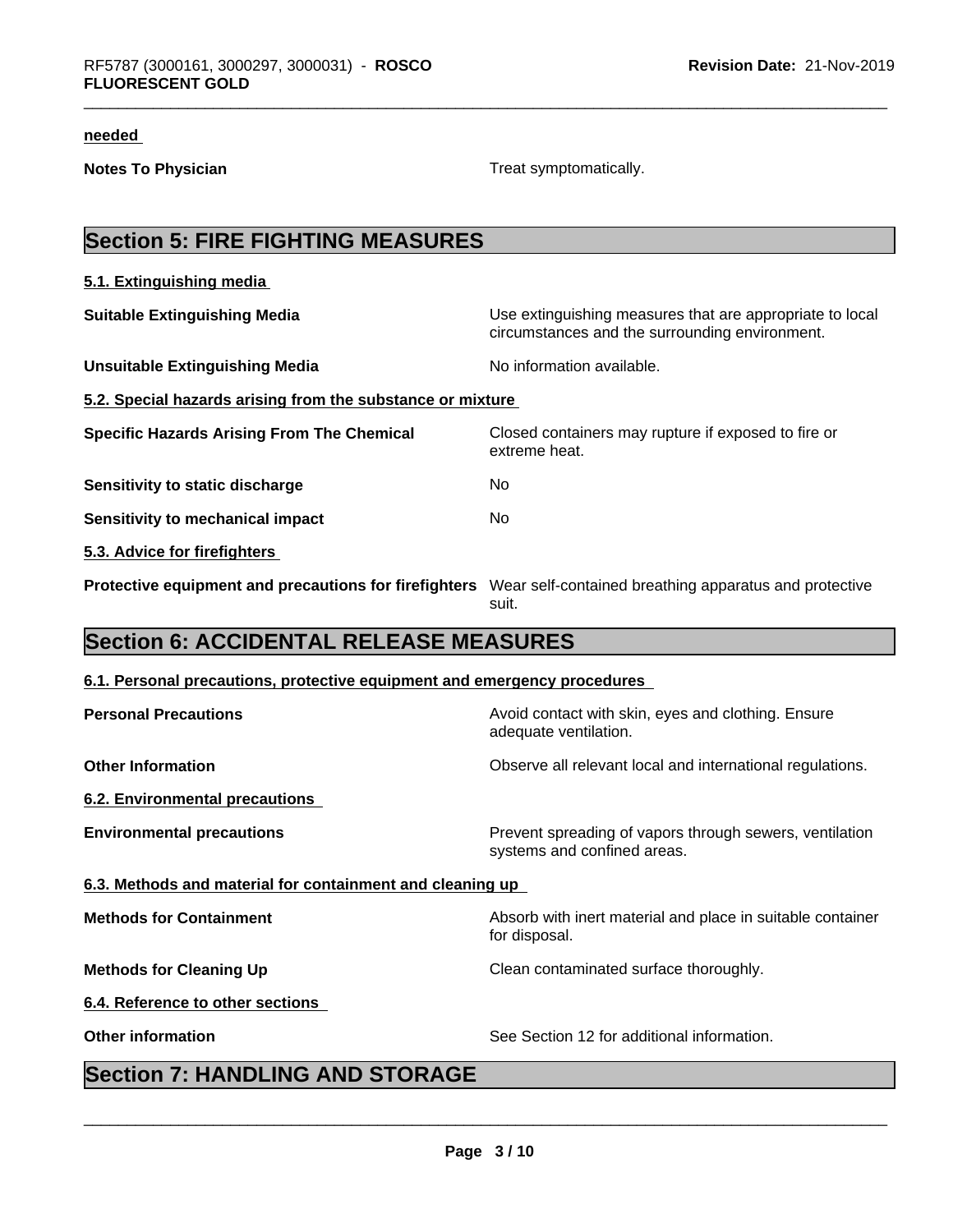#### **needed**

**Notes To Physician** Motes To Physician Treat symptomatically.

# **Section 5: FIRE FIGHTING MEASURES**

| 5.1. Extinguishing media                                   |                                                                                                            |
|------------------------------------------------------------|------------------------------------------------------------------------------------------------------------|
| <b>Suitable Extinguishing Media</b>                        | Use extinguishing measures that are appropriate to local<br>circumstances and the surrounding environment. |
| <b>Unsuitable Extinguishing Media</b>                      | No information available.                                                                                  |
| 5.2. Special hazards arising from the substance or mixture |                                                                                                            |
| <b>Specific Hazards Arising From The Chemical</b>          | Closed containers may rupture if exposed to fire or<br>extreme heat.                                       |
| Sensitivity to static discharge                            | No.                                                                                                        |
| Sensitivity to mechanical impact                           | No.                                                                                                        |
| 5.3. Advice for firefighters                               |                                                                                                            |
| Protective equipment and precautions for firefighters      | Wear self-contained breathing apparatus and protective<br>suit.                                            |

## **Section 6: ACCIDENTAL RELEASE MEASURES**

#### **6.1. Personal precautions, protective equipment and emergency procedures**

| <b>Personal Precautions</b>                               | Avoid contact with skin, eyes and clothing. Ensure<br>adequate ventilation.            |  |  |  |  |
|-----------------------------------------------------------|----------------------------------------------------------------------------------------|--|--|--|--|
| <b>Other Information</b>                                  | Observe all relevant local and international regulations.                              |  |  |  |  |
| 6.2. Environmental precautions                            |                                                                                        |  |  |  |  |
| <b>Environmental precautions</b>                          | Prevent spreading of vapors through sewers, ventilation<br>systems and confined areas. |  |  |  |  |
| 6.3. Methods and material for containment and cleaning up |                                                                                        |  |  |  |  |
| <b>Methods for Containment</b>                            | Absorb with inert material and place in suitable container<br>for disposal.            |  |  |  |  |
| <b>Methods for Cleaning Up</b>                            | Clean contaminated surface thoroughly.                                                 |  |  |  |  |
| 6.4. Reference to other sections                          |                                                                                        |  |  |  |  |
| <b>Other information</b>                                  | See Section 12 for additional information.                                             |  |  |  |  |

## **Section 7: HANDLING AND STORAGE**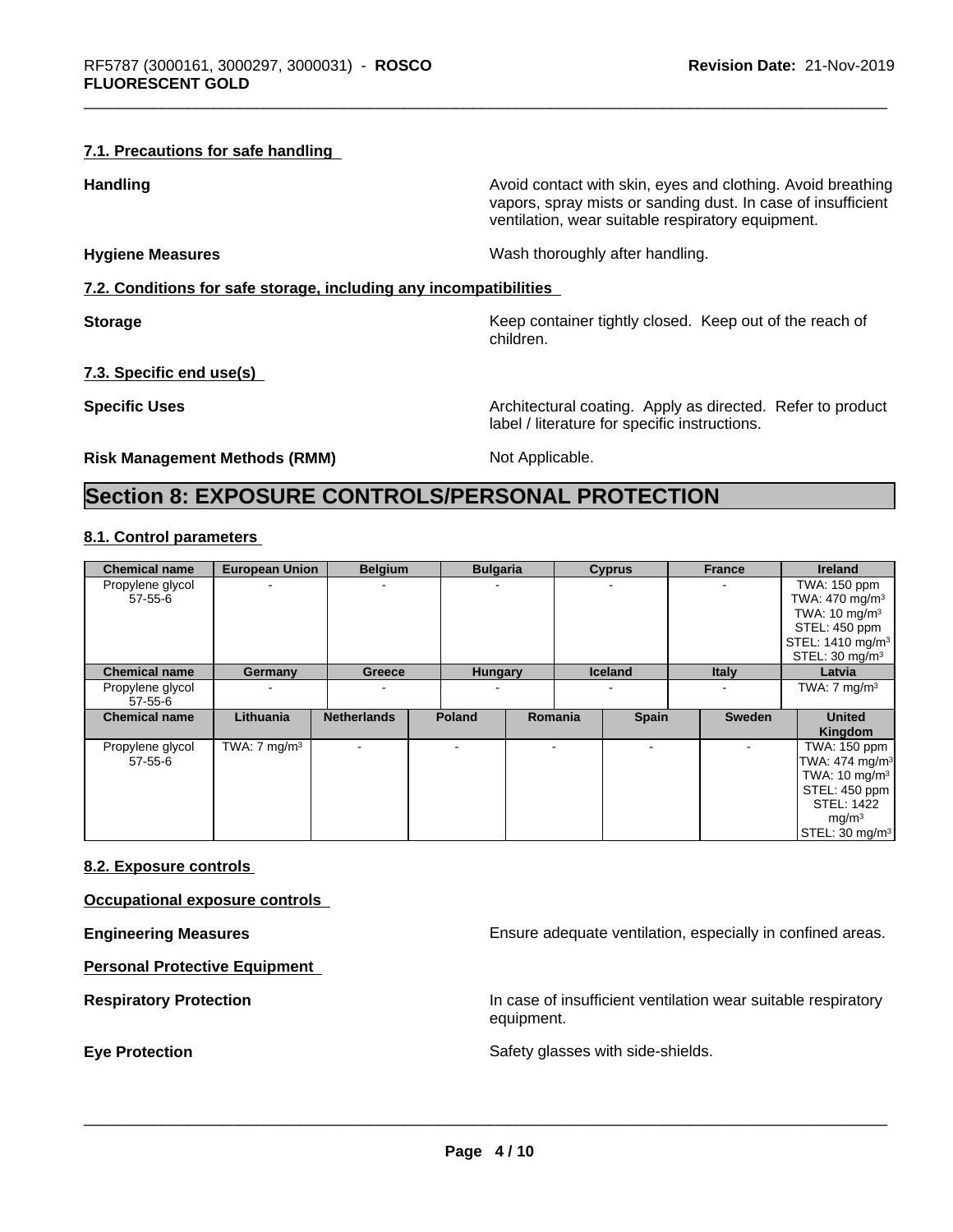#### **7.1. Precautions for safe handling**

**Handling Handling Avoid contact with skin, eyes and clothing. Avoid breathing** 

**Hygiene Measures** Mash thoroughly after handling.

ventilation, wear suitable respiratory equipment.

**7.2. Conditions for safe storage, including any incompatibilities**

**Storage Keep container tightly closed. Keep out of the reach of Keep** container tightly closed. Keep out of the reach of children.

vapors, spray mists or sanding dust. In case of insufficient

**7.3. Specific end use(s)**

**Specific Uses Architectural coating. Apply as directed. Refer to product Specific Uses** label / literature for specific instructions.

**Risk Management Methods (RMM)** Not Applicable.

## **Section 8: EXPOSURE CONTROLS/PERSONAL PROTECTION**

#### **8.1. Control parameters**

| <b>Chemical name</b>        | <b>European Union</b>   | <b>Belgium</b>     | <b>Bulgaria</b> |         | <b>Cyprus</b>  | <b>France</b> | <b>Ireland</b>                                                                                                                                           |
|-----------------------------|-------------------------|--------------------|-----------------|---------|----------------|---------------|----------------------------------------------------------------------------------------------------------------------------------------------------------|
| Propylene glycol<br>57-55-6 |                         | ۰                  |                 |         |                |               | TWA: 150 ppm<br>TWA: 470 mg/m <sup>3</sup><br>TWA: $10 \text{ mg/m}^3$<br>STEL: 450 ppm<br>STEL: 1410 mg/m <sup>3</sup><br>STEL: $30 \text{ mg/m}^3$     |
| <b>Chemical name</b>        | Germany                 | Greece             | <b>Hungary</b>  |         | <b>Iceland</b> | <b>Italy</b>  | Latvia                                                                                                                                                   |
| Propylene glycol<br>57-55-6 |                         | ۰                  |                 |         |                |               | TWA: $7 \text{ mg/m}^3$                                                                                                                                  |
| <b>Chemical name</b>        | Lithuania               | <b>Netherlands</b> | <b>Poland</b>   | Romania | <b>Spain</b>   | <b>Sweden</b> | <b>United</b><br>Kingdom                                                                                                                                 |
| Propylene glycol<br>57-55-6 | TWA: $7 \text{ mg/m}^3$ |                    |                 |         |                |               | TWA: 150 ppm<br>TWA: 474 mg/m <sup>3</sup><br>TWA: $10 \text{ mg/m}^3$<br>STEL: 450 ppm<br>STEL: 1422<br>mg/m <sup>3</sup><br>STEL: 30 mg/m <sup>3</sup> |

#### **8.2. Exposure controls**

**Occupational exposure controls**

**Personal Protective Equipment**

**Engineering Measures Ensure** Ensure adequate ventilation, especially in confined areas.

**Respiratory Protection In case of insufficient ventilation wear suitable respiratory** equipment.

**Eye Protection** Safety glasses with side-shields.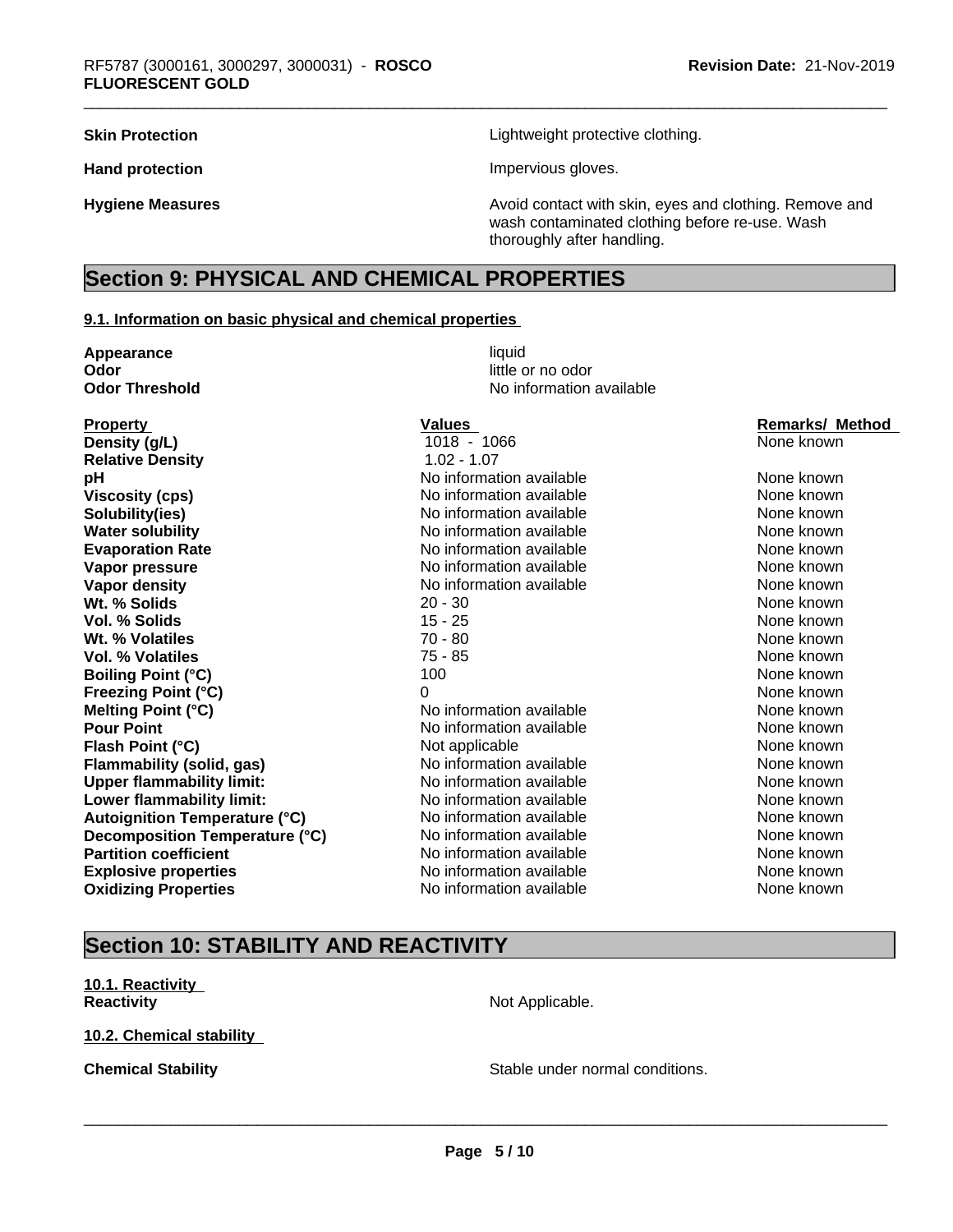**Skin Protection Skin Protection Lightweight protective clothing.** 

Hand protection **Impervious** gloves.

**Hygiene Measures Avoid contact with skin, eyes and clothing. Remove and Avoid contact with skin, eyes and clothing. Remove and Avoid contact with skin, eyes and clothing. Remove and** wash contaminated clothing before re-use. Wash thoroughly after handling.

## **Section 9: PHYSICAL AND CHEMICAL PROPERTIES**

#### **9.1. Information on basic physical and chemical properties**

| Appearance                           | liquid                   |                        |
|--------------------------------------|--------------------------|------------------------|
| Odor                                 | little or no odor        |                        |
| <b>Odor Threshold</b>                | No information available |                        |
| <b>Property</b>                      | <b>Values</b>            | <b>Remarks/ Method</b> |
| Density (g/L)                        | 1018 - 1066              | None known             |
| <b>Relative Density</b>              | $1.02 - 1.07$            |                        |
| pH                                   | No information available | None known             |
| <b>Viscosity (cps)</b>               | No information available | None known             |
| Solubility(ies)                      | No information available | None known             |
| <b>Water solubility</b>              | No information available | None known             |
| <b>Evaporation Rate</b>              | No information available | None known             |
| Vapor pressure                       | No information available | None known             |
| <b>Vapor density</b>                 | No information available | None known             |
| Wt. % Solids                         | $20 - 30$                | None known             |
| <b>Vol. % Solids</b>                 | $15 - 25$                | None known             |
| Wt. % Volatiles                      | $70 - 80$                | None known             |
| Vol. % Volatiles                     | $75 - 85$                | None known             |
| <b>Boiling Point (°C)</b>            | 100                      | None known             |
| <b>Freezing Point (°C)</b>           | $\Omega$                 | None known             |
| Melting Point (°C)                   | No information available | None known             |
| <b>Pour Point</b>                    | No information available | None known             |
| Flash Point (°C)                     | Not applicable           | None known             |
| Flammability (solid, gas)            | No information available | None known             |
| <b>Upper flammability limit:</b>     | No information available | None known             |
| Lower flammability limit:            | No information available | None known             |
| <b>Autoignition Temperature (°C)</b> | No information available | None known             |
| Decomposition Temperature (°C)       | No information available | None known             |
| <b>Partition coefficient</b>         | No information available | None known             |
| <b>Explosive properties</b>          | No information available | None known             |
| <b>Oxidizing Properties</b>          | No information available | None known             |
|                                      |                          |                        |

## **Section 10: STABILITY AND REACTIVITY**

**10.1. Reactivity Reactivity** Not Applicable.

#### **10.2. Chemical stability**

**Chemical Stability Chemical Stability** Stable under normal conditions.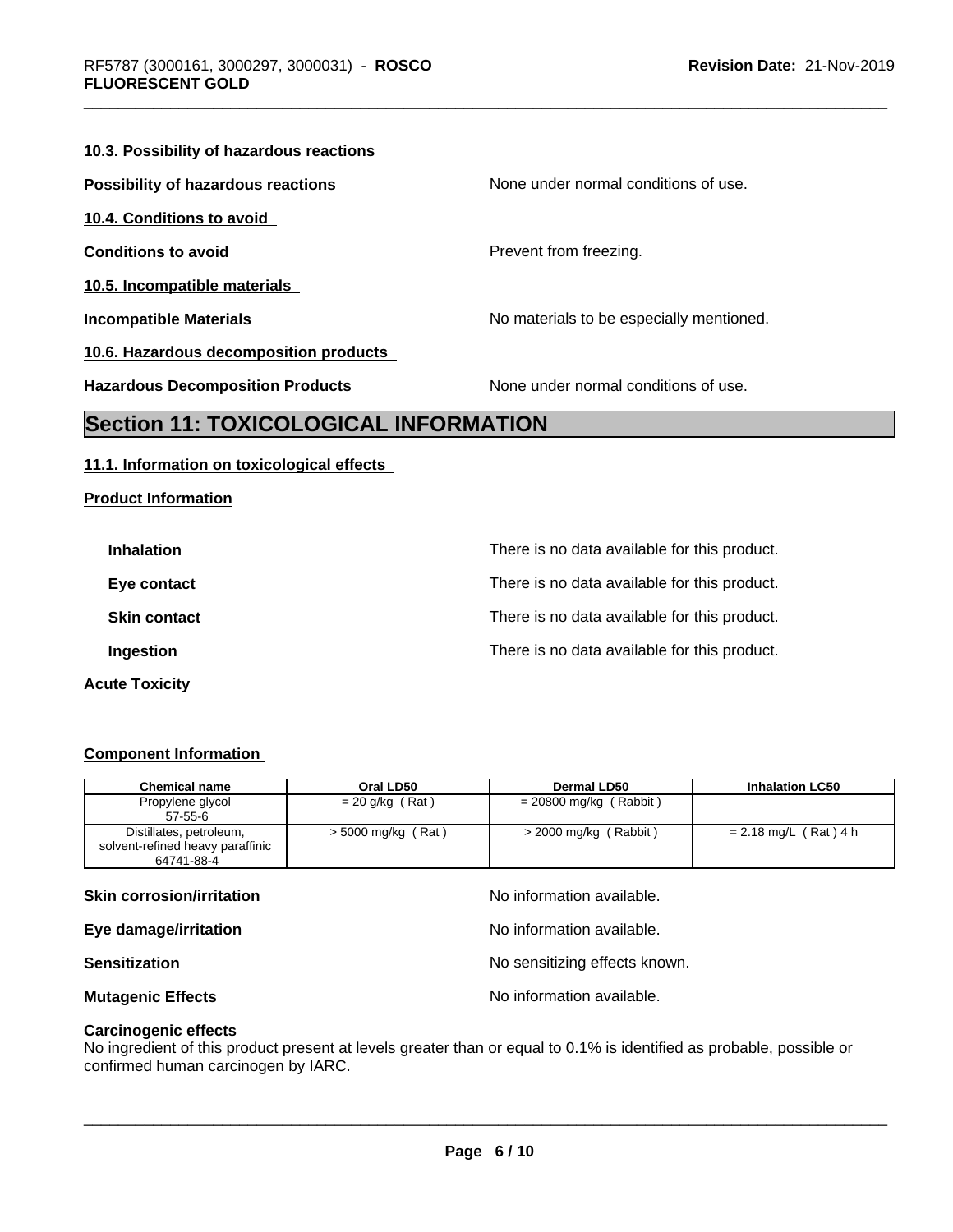#### **10.3. Possibility of hazardous reactions**

| <b>Possibility of hazardous reactions</b> | None under normal conditions of use.     |
|-------------------------------------------|------------------------------------------|
| 10.4. Conditions to avoid                 |                                          |
| <b>Conditions to avoid</b>                | Prevent from freezing.                   |
| 10.5. Incompatible materials              |                                          |
| <b>Incompatible Materials</b>             | No materials to be especially mentioned. |
| 10.6. Hazardous decomposition products    |                                          |
| <b>Hazardous Decomposition Products</b>   | None under normal conditions of use.     |

## **Section 11: TOXICOLOGICAL INFORMATION**

#### **11.1. Information on toxicological effects**

| <b>Product Information</b> |  |
|----------------------------|--|
|----------------------------|--|

| <b>Inhalation</b>     | There is no data available for this product. |
|-----------------------|----------------------------------------------|
| Eye contact           | There is no data available for this product. |
| <b>Skin contact</b>   | There is no data available for this product. |
| Ingestion             | There is no data available for this product. |
| <b>Acute Toxicity</b> |                                              |

#### **Component Information**

| <b>Chemical name</b>             | Oral LD50          | Dermal LD50              | <b>Inhalation LC50</b> |
|----------------------------------|--------------------|--------------------------|------------------------|
| Propylene glycol                 | $= 20$ g/kg (Rat)  | $= 20800$ mg/kg (Rabbit) |                        |
| $57 - 55 - 6$                    |                    |                          |                        |
| Distillates, petroleum,          | > 5000 mg/kg (Rat) | $>$ 2000 mg/kg (Rabbit)  | = 2.18 mg/L (Rat) 4 h  |
| solvent-refined heavy paraffinic |                    |                          |                        |
| 64741-88-4                       |                    |                          |                        |

#### **Skin corrosion/irritation** available.

**Eye damage/irritation Eye damage/irritation No information available.** 

**Sensitization** No sensitizing effects known.

**Mutagenic Effects Mutagenic Effects No information available.** 

 $\overline{\phantom{a}}$  ,  $\overline{\phantom{a}}$  ,  $\overline{\phantom{a}}$  ,  $\overline{\phantom{a}}$  ,  $\overline{\phantom{a}}$  ,  $\overline{\phantom{a}}$  ,  $\overline{\phantom{a}}$  ,  $\overline{\phantom{a}}$  ,  $\overline{\phantom{a}}$  ,  $\overline{\phantom{a}}$  ,  $\overline{\phantom{a}}$  ,  $\overline{\phantom{a}}$  ,  $\overline{\phantom{a}}$  ,  $\overline{\phantom{a}}$  ,  $\overline{\phantom{a}}$  ,  $\overline{\phantom{a}}$ 

#### **Carcinogenic effects**

No ingredient of this product present at levels greater than or equal to 0.1% is identified as probable, possible or confirmed human carcinogen by IARC.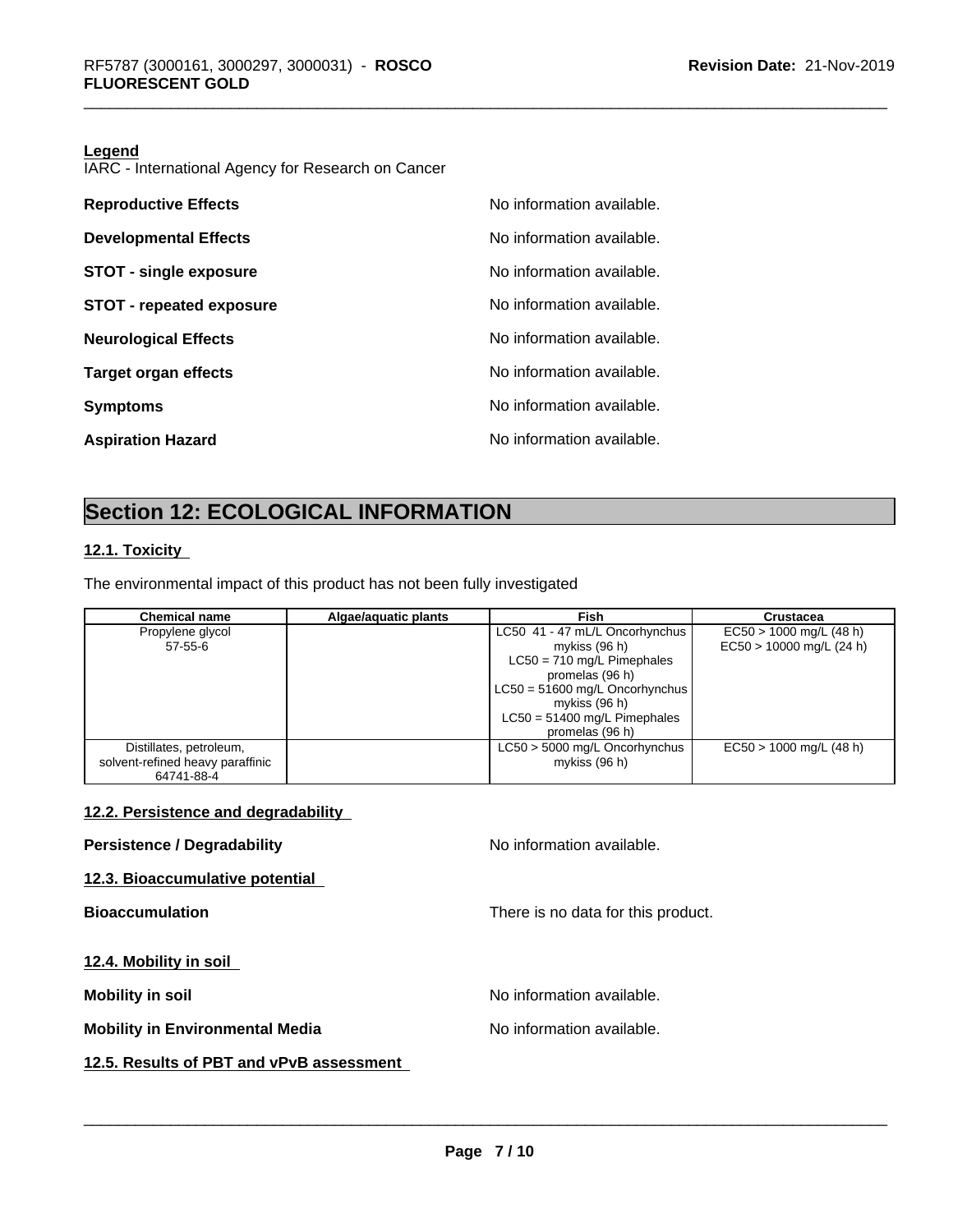#### **Legend**

IARC - International Agency for Research on Cancer

| <b>Reproductive Effects</b>     | No information available. |
|---------------------------------|---------------------------|
| <b>Developmental Effects</b>    | No information available. |
| <b>STOT - single exposure</b>   | No information available. |
| <b>STOT - repeated exposure</b> | No information available. |
| <b>Neurological Effects</b>     | No information available. |
| <b>Target organ effects</b>     | No information available. |
| <b>Symptoms</b>                 | No information available. |
| <b>Aspiration Hazard</b>        | No information available. |

## **Section 12: ECOLOGICAL INFORMATION**

#### **12.1. Toxicity**

The environmental impact of this product has not been fully investigated

| <b>Chemical name</b>             | Algae/aquatic plants | Fish                             | <b>Crustacea</b>           |
|----------------------------------|----------------------|----------------------------------|----------------------------|
| Propylene glycol                 |                      | LC50 41 - 47 mL/L Oncorhynchus   | $EC50 > 1000$ mg/L (48 h)  |
| $57 - 55 - 6$                    |                      | mykiss $(96 h)$                  | $EC50 > 10000$ mg/L (24 h) |
|                                  |                      | $LC50 = 710$ mg/L Pimephales     |                            |
|                                  |                      | promelas (96 h)                  |                            |
|                                  |                      | $LC50 = 51600$ mg/L Oncorhynchus |                            |
|                                  |                      | mykiss $(96 h)$                  |                            |
|                                  |                      | $LC50 = 51400$ mg/L Pimephales   |                            |
|                                  |                      | promelas (96 h)                  |                            |
| Distillates, petroleum,          |                      | LC50 > 5000 mg/L Oncorhynchus    | $EC50 > 1000$ mg/L (48 h)  |
| solvent-refined heavy paraffinic |                      | mykiss $(96 h)$                  |                            |
| 64741-88-4                       |                      |                                  |                            |

### **12.2. Persistence and degradability**

**Persistence / Degradability No information available.** 

 $\overline{\phantom{a}}$  ,  $\overline{\phantom{a}}$  ,  $\overline{\phantom{a}}$  ,  $\overline{\phantom{a}}$  ,  $\overline{\phantom{a}}$  ,  $\overline{\phantom{a}}$  ,  $\overline{\phantom{a}}$  ,  $\overline{\phantom{a}}$  ,  $\overline{\phantom{a}}$  ,  $\overline{\phantom{a}}$  ,  $\overline{\phantom{a}}$  ,  $\overline{\phantom{a}}$  ,  $\overline{\phantom{a}}$  ,  $\overline{\phantom{a}}$  ,  $\overline{\phantom{a}}$  ,  $\overline{\phantom{a}}$ 

**12.3. Bioaccumulative potential**

**Bioaccumulation Bioaccumulation Bioaccumulation There is no data for this product.** 

**12.4. Mobility in soil**

**Mobility in soil Mobility in soil Mobility in soil** 

**Mobility in Environmental Media** Noinformation available.

**12.5. Results of PBT and vPvB assessment**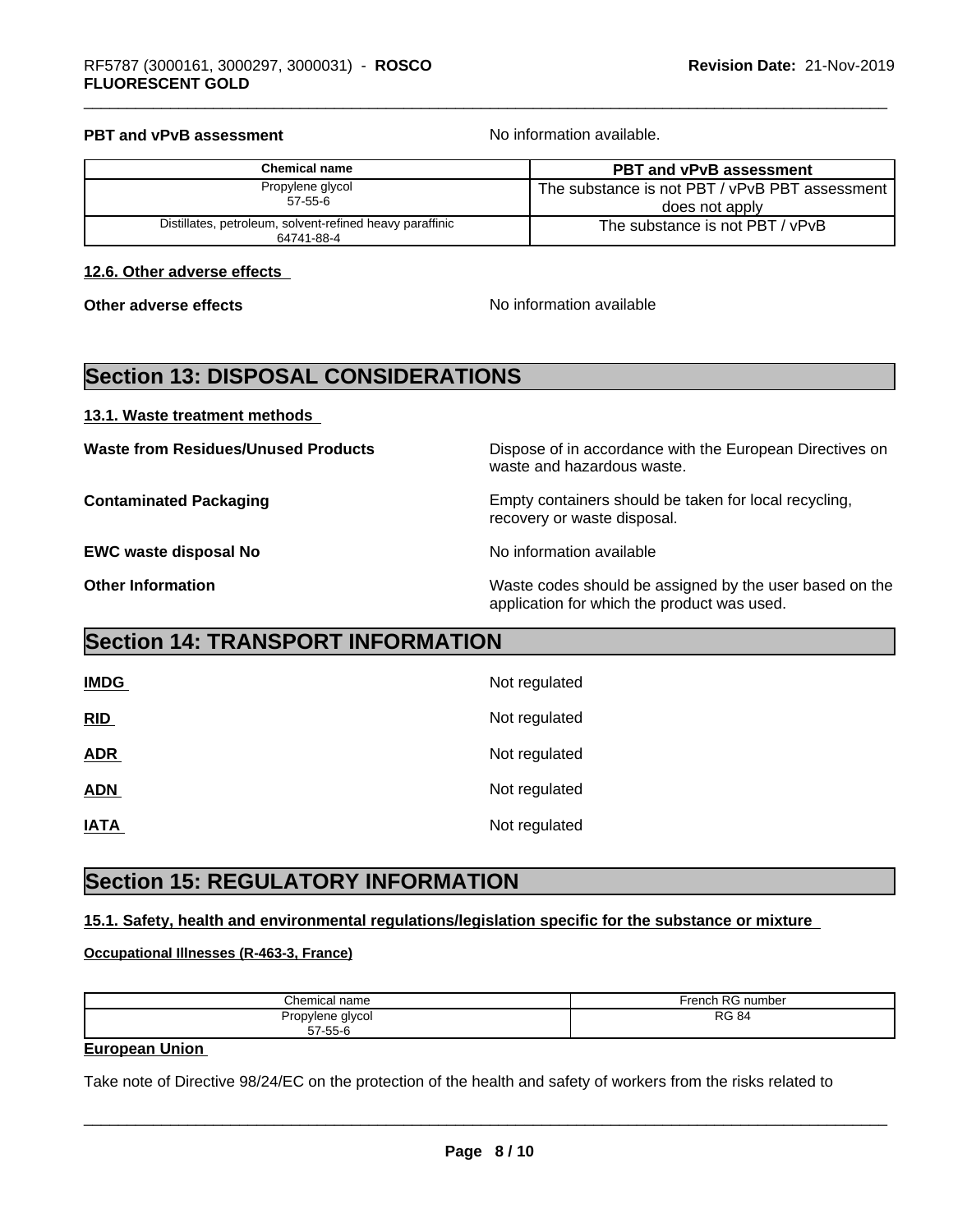#### **PBT and vPvB assessment No information available.**

| Chemical name                                            | <b>PBT and vPvB assessment</b>                   |
|----------------------------------------------------------|--------------------------------------------------|
| Propylene glycol                                         | The substance is not PBT / vPvB PBT assessment I |
| $57 - 55 - 6$                                            | does not apply                                   |
| Distillates, petroleum, solvent-refined heavy paraffinic | The substance is not PBT / vPvB                  |
| 64741-88-4                                               |                                                  |

#### **12.6. Other adverse effects**

**Other adverse effects** and the state of the No information available

## **Section 13: DISPOSAL CONSIDERATIONS**

**13.1. Waste treatment methods** 

**EWC waste disposal No No information available** 

**Waste from Residues/Unused Products** Dispose of in accordance with the European Directives on waste and hazardous waste.

**Contaminated Packaging Empty containers should be taken for local recycling,** recovery or waste disposal.

**Other Information** Waste codes should be assigned by the user based on the application for which the product was used.

## **Section 14: TRANSPORT INFORMATION**

| <b>IMDG</b> | Not regulated |
|-------------|---------------|
| RID         | Not regulated |
| <b>ADR</b>  | Not regulated |
| <b>ADN</b>  | Not regulated |
| <b>IATA</b> | Not regulated |

## **Section 15: REGULATORY INFORMATION**

#### **15.1. Safety, health and environmental regulations/legislation specific for the substance or mixture**

#### **Occupational Illnesses (R-463-3, France)**

| Chemical                          | French RG    |
|-----------------------------------|--------------|
| name                              | RG number    |
| Propylene glycol<br>$57 - 55 - 6$ | <b>RG 84</b> |

#### **European Union**

Take note of Directive 98/24/EC on the protection of the health and safety of workers from the risks related to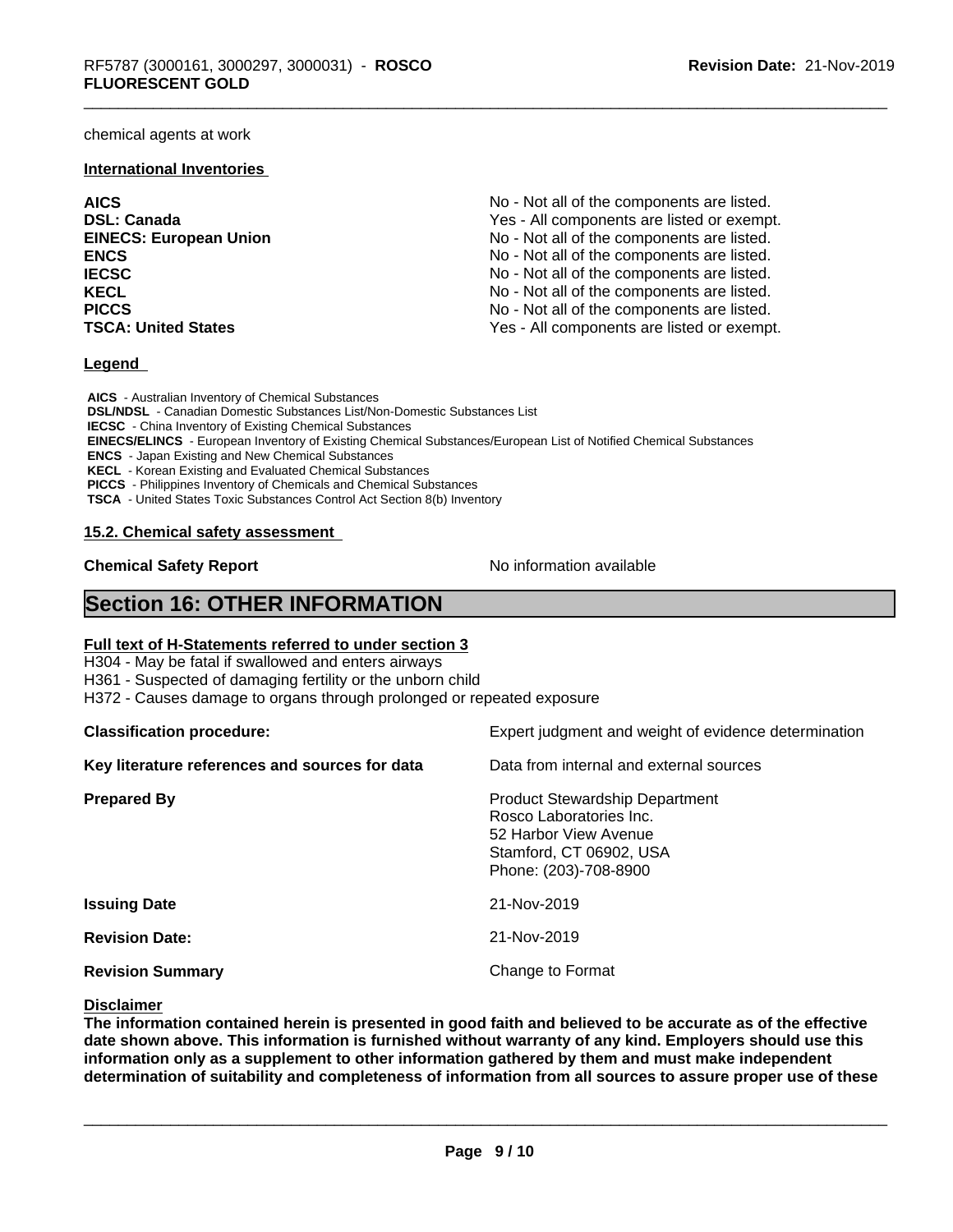chemical agents at work

#### **International Inventories**

**AICS** No - Not all of the components are listed. **DSL: Canada Ves - All components are listed or exempt.** Yes - All components are listed or exempt. **EINECS: European Union** No - Not all of the components are listed. **ENCS** No - Not all of the components are listed. **IECSC IECSC IECSC IECSC IECSC IECSC IECSC IECSC IECSC IECSC IECSC IECSC IECSC IECS IECS IECS IECS IECS IECS IECS IECS IECS IECS IECS IECS IECS IECS IECS IECS IECS KECL KECL KECL No** - Not all of the components are listed. **PICCS No** - Not all of the components are listed. **TSCA: United States** TSCA:  $Y$ es - All components are listed or exempt.

#### **Legend**

 **AICS** - Australian Inventory of Chemical Substances  **DSL/NDSL** - Canadian Domestic Substances List/Non-Domestic Substances List  **IECSC** - China Inventory of Existing Chemical Substances  **EINECS/ELINCS** - European Inventory of Existing Chemical Substances/European List of Notified Chemical Substances  **ENCS** - Japan Existing and New Chemical Substances  **KECL** - Korean Existing and Evaluated Chemical Substances  **PICCS** - Philippines Inventory of Chemicals and Chemical Substances  **TSCA** - United States Toxic Substances Control Act Section 8(b) Inventory

#### **15.2. Chemical safety assessment**

**Chemical Safety Report** No information available

## **Section 16: OTHER INFORMATION**

#### **Full text of H-Statements referred to under section 3**

H304 - May be fatal if swallowed and enters airways

H361 - Suspected of damaging fertility or the unborn child

H372 - Causes damage to organs through prolonged or repeated exposure

**Classification procedure:** Expert judgment and weight of evidence determination **Key literature references and sources for data** Data from internal and external sources **Prepared By Product Stewardship Department** Rosco Laboratories Inc. 52 Harbor View Avenue Stamford, CT 06902, USA Phone: (203)-708-8900 **Issuing Date** 21-Nov-2019 **Revision Date:** 21-Nov-2019 **Revision Summary Change to Format** 

#### **Disclaimer**

The information contained herein is presented in good faith and believed to be accurate as of the effective **date shown above. This information isfurnished without warranty of any kind. Employers should use this information only as a supplement to other information gathered by them and must make independent determination of suitability and completeness of information from all sources to assure proper use of these**